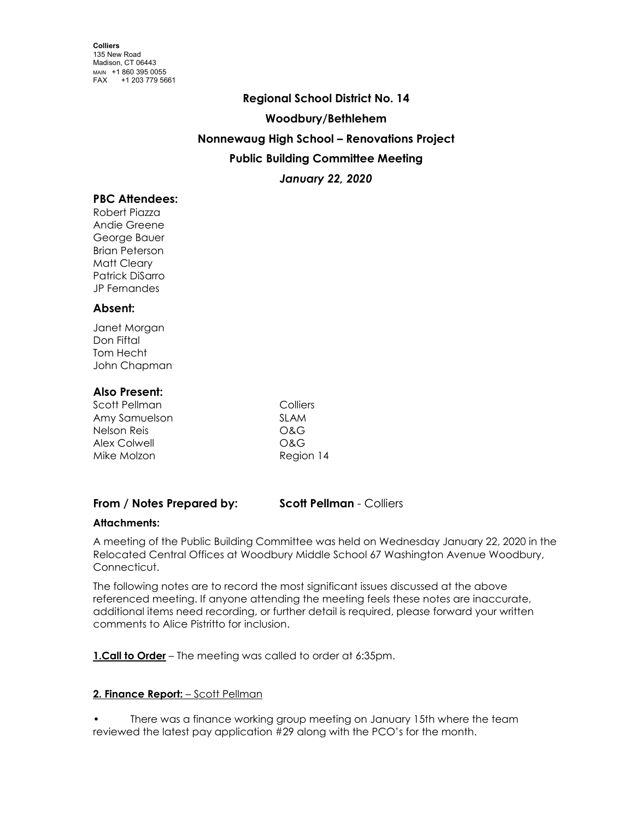# **Regional School District No. 14 Woodbury/Bethlehem Nonnewaug High School – Renovations Project Public Building Committee Meeting** *January 22, 2020*

# **PBC Attendees:**

Robert Piazza Andie Greene George Bauer Brian Peterson Matt Cleary Patrick DiSarro JP Fernandes

# **Absent:**

Janet Morgan Don Fiftal Tom Hecht John Chapman

# **Also Present:**

| Scott Pellman | Colliers    |
|---------------|-------------|
| Amy Samuelson | <b>SLAM</b> |
| Nelson Reis   | O&G         |
| Alex Colwell  | O&G         |
| Mike Molzon   | Region 14   |

# **From / Notes Prepared by: Scott Pellman** - Colliers

# **Attachments:**

A meeting of the Public Building Committee was held on Wednesday January 22, 2020 in the Relocated Central Offices at Woodbury Middle School 67 Washington Avenue Woodbury, Connecticut.

The following notes are to record the most significant issues discussed at the above referenced meeting. If anyone attending the meeting feels these notes are inaccurate, additional items need recording, or further detail is required, please forward your written comments to Alice Pistritto for inclusion.

**1.Call to Order** – The meeting was called to order at 6:35pm.

# **2. Finance Report:** – Scott Pellman

There was a finance working group meeting on January 15th where the team reviewed the latest pay application #29 along with the PCO's for the month.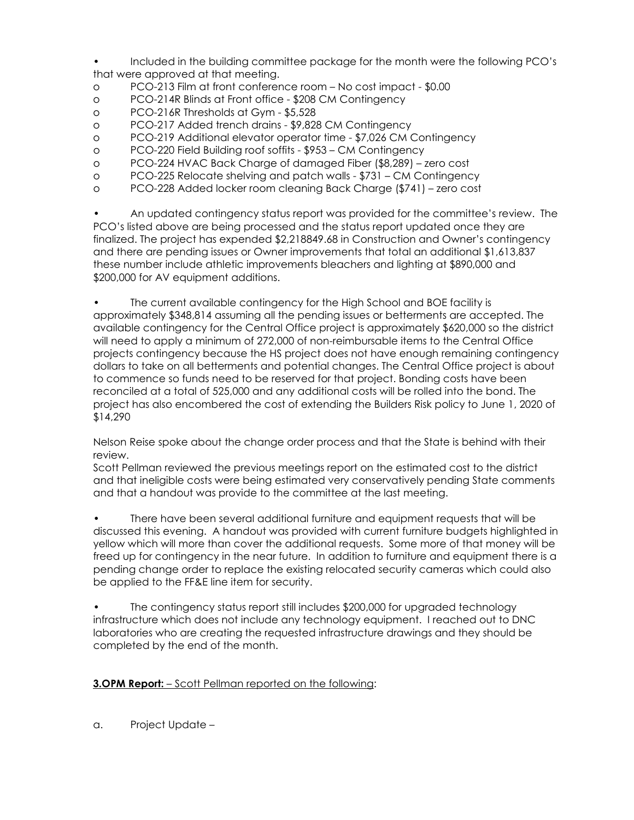- Included in the building committee package for the month were the following PCO's that were approved at that meeting.
- o PCO-213 Film at front conference room No cost impact \$0.00
- o PCO-214R Blinds at Front office \$208 CM Contingency
- o PCO-216R Thresholds at Gym \$5,528
- o PCO-217 Added trench drains \$9,828 CM Contingency
- o PCO-219 Additional elevator operator time \$7,026 CM Contingency
- o PCO-220 Field Building roof soffits \$953 CM Contingency
- o PCO-224 HVAC Back Charge of damaged Fiber (\$8,289) zero cost
- o PCO-225 Relocate shelving and patch walls \$731 CM Contingency
- o PCO-228 Added locker room cleaning Back Charge (\$741) zero cost

• An updated contingency status report was provided for the committee's review. The PCO's listed above are being processed and the status report updated once they are finalized. The project has expended \$2,218849.68 in Construction and Owner's contingency and there are pending issues or Owner improvements that total an additional \$1,613,837 these number include athletic improvements bleachers and lighting at \$890,000 and \$200,000 for AV equipment additions.

• The current available contingency for the High School and BOE facility is approximately \$348,814 assuming all the pending issues or betterments are accepted. The available contingency for the Central Office project is approximately \$620,000 so the district will need to apply a minimum of 272,000 of non-reimbursable items to the Central Office projects contingency because the HS project does not have enough remaining contingency dollars to take on all betterments and potential changes. The Central Office project is about to commence so funds need to be reserved for that project. Bonding costs have been reconciled at a total of 525,000 and any additional costs will be rolled into the bond. The project has also encombered the cost of extending the Builders Risk policy to June 1, 2020 of \$14,290

Nelson Reise spoke about the change order process and that the State is behind with their review.

Scott Pellman reviewed the previous meetings report on the estimated cost to the district and that ineligible costs were being estimated very conservatively pending State comments and that a handout was provide to the committee at the last meeting.

• There have been several additional furniture and equipment requests that will be discussed this evening. A handout was provided with current furniture budgets highlighted in yellow which will more than cover the additional requests. Some more of that money will be freed up for contingency in the near future. In addition to furniture and equipment there is a pending change order to replace the existing relocated security cameras which could also be applied to the FF&E line item for security.

• The contingency status report still includes \$200,000 for upgraded technology infrastructure which does not include any technology equipment. I reached out to DNC laboratories who are creating the requested infrastructure drawings and they should be completed by the end of the month.

# **3.OPM Report:** – Scott Pellman reported on the following:

a. Project Update –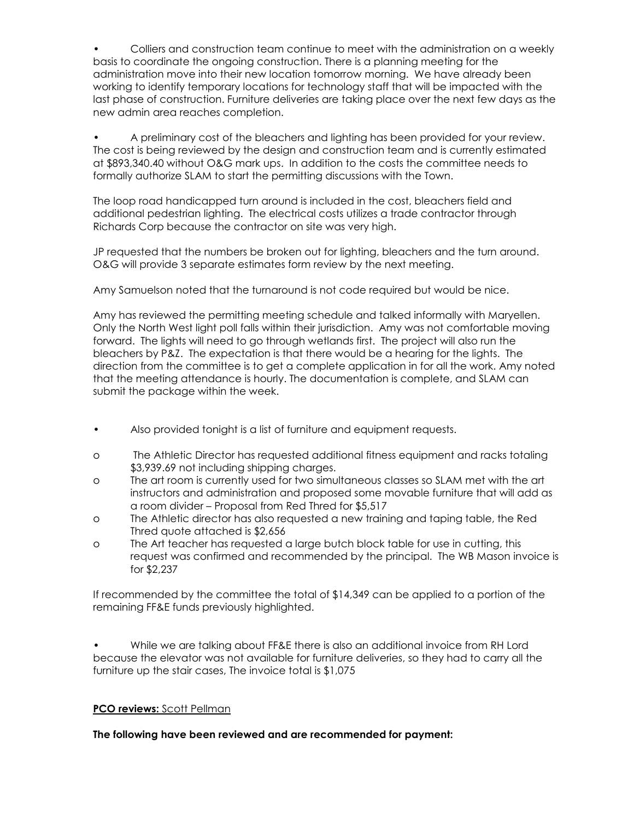• Colliers and construction team continue to meet with the administration on a weekly basis to coordinate the ongoing construction. There is a planning meeting for the administration move into their new location tomorrow morning. We have already been working to identify temporary locations for technology staff that will be impacted with the last phase of construction. Furniture deliveries are taking place over the next few days as the new admin area reaches completion.

• A preliminary cost of the bleachers and lighting has been provided for your review. The cost is being reviewed by the design and construction team and is currently estimated at \$893,340.40 without O&G mark ups. In addition to the costs the committee needs to formally authorize SLAM to start the permitting discussions with the Town.

The loop road handicapped turn around is included in the cost, bleachers field and additional pedestrian lighting. The electrical costs utilizes a trade contractor through Richards Corp because the contractor on site was very high.

JP requested that the numbers be broken out for lighting, bleachers and the turn around. O&G will provide 3 separate estimates form review by the next meeting.

Amy Samuelson noted that the turnaround is not code required but would be nice.

Amy has reviewed the permitting meeting schedule and talked informally with Maryellen. Only the North West light poll falls within their jurisdiction. Amy was not comfortable moving forward. The lights will need to go through wetlands first. The project will also run the bleachers by P&Z. The expectation is that there would be a hearing for the lights. The direction from the committee is to get a complete application in for all the work. Amy noted that the meeting attendance is hourly. The documentation is complete, and SLAM can submit the package within the week.

- Also provided tonight is a list of furniture and equipment requests.
- o The Athletic Director has requested additional fitness equipment and racks totaling \$3,939.69 not including shipping charges.
- o The art room is currently used for two simultaneous classes so SLAM met with the art instructors and administration and proposed some movable furniture that will add as a room divider – Proposal from Red Thred for \$5,517
- o The Athletic director has also requested a new training and taping table, the Red Thred quote attached is \$2,656
- o The Art teacher has requested a large butch block table for use in cutting, this request was confirmed and recommended by the principal. The WB Mason invoice is for \$2,237

If recommended by the committee the total of \$14,349 can be applied to a portion of the remaining FF&E funds previously highlighted.

• While we are talking about FF&E there is also an additional invoice from RH Lord because the elevator was not available for furniture deliveries, so they had to carry all the furniture up the stair cases, The invoice total is \$1,075

# **PCO reviews:** Scott Pellman

**The following have been reviewed and are recommended for payment:**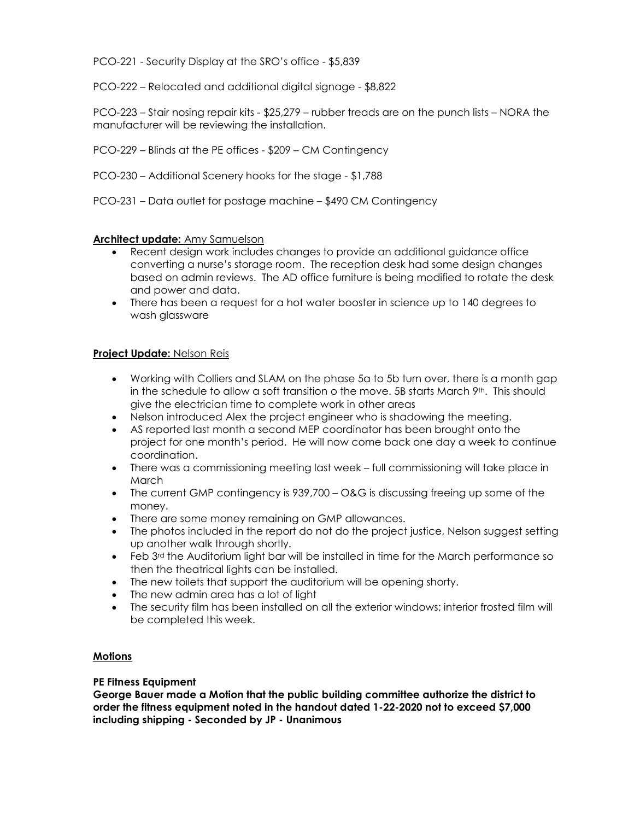PCO-221 - Security Display at the SRO's office - \$5,839

PCO-222 – Relocated and additional digital signage - \$8,822

PCO-223 – Stair nosing repair kits - \$25,279 – rubber treads are on the punch lists – NORA the manufacturer will be reviewing the installation.

PCO-229 – Blinds at the PE offices - \$209 – CM Contingency

PCO-230 – Additional Scenery hooks for the stage - \$1,788

PCO-231 – Data outlet for postage machine – \$490 CM Contingency

# **Architect update:** Amy Samuelson

- Recent design work includes changes to provide an additional guidance office converting a nurse's storage room. The reception desk had some design changes based on admin reviews. The AD office furniture is being modified to rotate the desk and power and data.
- There has been a request for a hot water booster in science up to 140 degrees to wash glassware

# **Project Update:** Nelson Reis

- Working with Colliers and SLAM on the phase 5a to 5b turn over, there is a month gap in the schedule to allow a soft transition o the move. 5B starts March  $9<sup>th</sup>$ . This should give the electrician time to complete work in other areas
- Nelson introduced Alex the project engineer who is shadowing the meeting.
- AS reported last month a second MEP coordinator has been brought onto the project for one month's period. He will now come back one day a week to continue coordination.
- There was a commissioning meeting last week full commissioning will take place in March
- The current GMP contingency is 939,700 O&G is discussing freeing up some of the money.
- There are some money remaining on GMP allowances.
- The photos included in the report do not do the project justice, Nelson suggest setting up another walk through shortly.
- $\bullet$  Feb 3<sup>rd</sup> the Auditorium light bar will be installed in time for the March performance so then the theatrical lights can be installed.
- The new toilets that support the auditorium will be opening shorty.
- The new admin area has a lot of light
- The security film has been installed on all the exterior windows; interior frosted film will be completed this week.

# **Motions**

# **PE Fitness Equipment**

**George Bauer made a Motion that the public building committee authorize the district to order the fitness equipment noted in the handout dated 1-22-2020 not to exceed \$7,000 including shipping - Seconded by JP - Unanimous**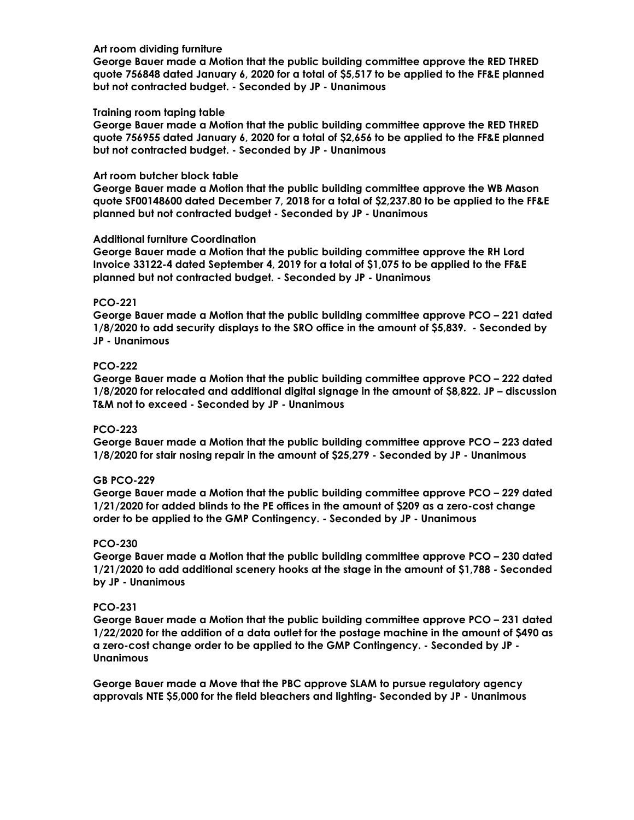#### **Art room dividing furniture**

**George Bauer made a Motion that the public building committee approve the RED THRED quote 756848 dated January 6, 2020 for a total of \$5,517 to be applied to the FF&E planned but not contracted budget. - Seconded by JP - Unanimous**

### **Training room taping table**

**George Bauer made a Motion that the public building committee approve the RED THRED quote 756955 dated January 6, 2020 for a total of \$2,656 to be applied to the FF&E planned but not contracted budget. - Seconded by JP - Unanimous**

#### **Art room butcher block table**

**George Bauer made a Motion that the public building committee approve the WB Mason quote SF00148600 dated December 7, 2018 for a total of \$2,237.80 to be applied to the FF&E planned but not contracted budget - Seconded by JP - Unanimous**

#### **Additional furniture Coordination**

**George Bauer made a Motion that the public building committee approve the RH Lord Invoice 33122-4 dated September 4, 2019 for a total of \$1,075 to be applied to the FF&E planned but not contracted budget. - Seconded by JP - Unanimous**

#### **PCO-221**

**George Bauer made a Motion that the public building committee approve PCO – 221 dated 1/8/2020 to add security displays to the SRO office in the amount of \$5,839. - Seconded by JP - Unanimous**

#### **PCO-222**

**George Bauer made a Motion that the public building committee approve PCO – 222 dated 1/8/2020 for relocated and additional digital signage in the amount of \$8,822. JP – discussion T&M not to exceed - Seconded by JP - Unanimous**

# **PCO-223**

**George Bauer made a Motion that the public building committee approve PCO – 223 dated 1/8/2020 for stair nosing repair in the amount of \$25,279 - Seconded by JP - Unanimous**

# **GB PCO-229**

**George Bauer made a Motion that the public building committee approve PCO – 229 dated 1/21/2020 for added blinds to the PE offices in the amount of \$209 as a zero-cost change order to be applied to the GMP Contingency. - Seconded by JP - Unanimous**

#### **PCO-230**

**George Bauer made a Motion that the public building committee approve PCO – 230 dated 1/21/2020 to add additional scenery hooks at the stage in the amount of \$1,788 - Seconded by JP - Unanimous**

#### **PCO-231**

**George Bauer made a Motion that the public building committee approve PCO – 231 dated 1/22/2020 for the addition of a data outlet for the postage machine in the amount of \$490 as a zero-cost change order to be applied to the GMP Contingency. - Seconded by JP - Unanimous**

**George Bauer made a Move that the PBC approve SLAM to pursue regulatory agency approvals NTE \$5,000 for the field bleachers and lighting- Seconded by JP - Unanimous**